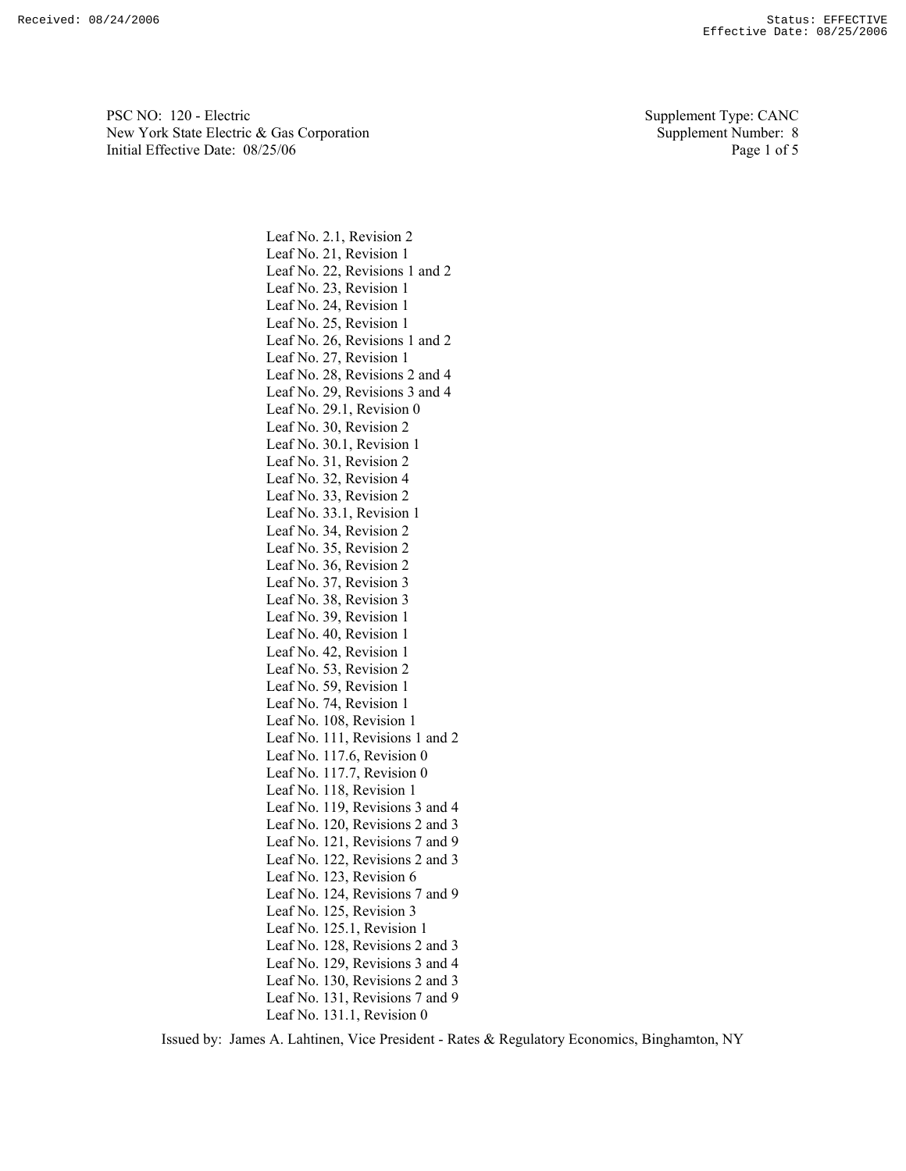PSC NO: 120 - Electric Supplement Type: CANC New York State Electric & Gas Corporation Supplement Number: 8 Initial Effective Date:  $08/25/06$  Page 1 of 5

Leaf No. 2.1, Revision 2 Leaf No. 21, Revision 1 Leaf No. 22, Revisions 1 and 2 Leaf No. 23, Revision 1 Leaf No. 24, Revision 1 Leaf No. 25, Revision 1 Leaf No. 26, Revisions 1 and 2 Leaf No. 27, Revision 1 Leaf No. 28, Revisions 2 and 4 Leaf No. 29, Revisions 3 and 4 Leaf No. 29.1, Revision 0 Leaf No. 30, Revision 2 Leaf No. 30.1, Revision 1 Leaf No. 31, Revision 2 Leaf No. 32, Revision 4 Leaf No. 33, Revision 2 Leaf No. 33.1, Revision 1 Leaf No. 34, Revision 2 Leaf No. 35, Revision 2 Leaf No. 36, Revision 2 Leaf No. 37, Revision 3 Leaf No. 38, Revision 3 Leaf No. 39, Revision 1 Leaf No. 40, Revision 1 Leaf No. 42, Revision 1 Leaf No. 53, Revision 2 Leaf No. 59, Revision 1 Leaf No. 74, Revision 1 Leaf No. 108, Revision 1 Leaf No. 111, Revisions 1 and 2 Leaf No. 117.6, Revision 0 Leaf No. 117.7, Revision 0 Leaf No. 118, Revision 1 Leaf No. 119, Revisions 3 and 4 Leaf No. 120, Revisions 2 and 3 Leaf No. 121, Revisions 7 and 9 Leaf No. 122, Revisions 2 and 3 Leaf No. 123, Revision 6 Leaf No. 124, Revisions 7 and 9 Leaf No. 125, Revision 3 Leaf No. 125.1, Revision 1 Leaf No. 128, Revisions 2 and 3 Leaf No. 129, Revisions 3 and 4 Leaf No. 130, Revisions 2 and 3 Leaf No. 131, Revisions 7 and 9 Leaf No. 131.1, Revision 0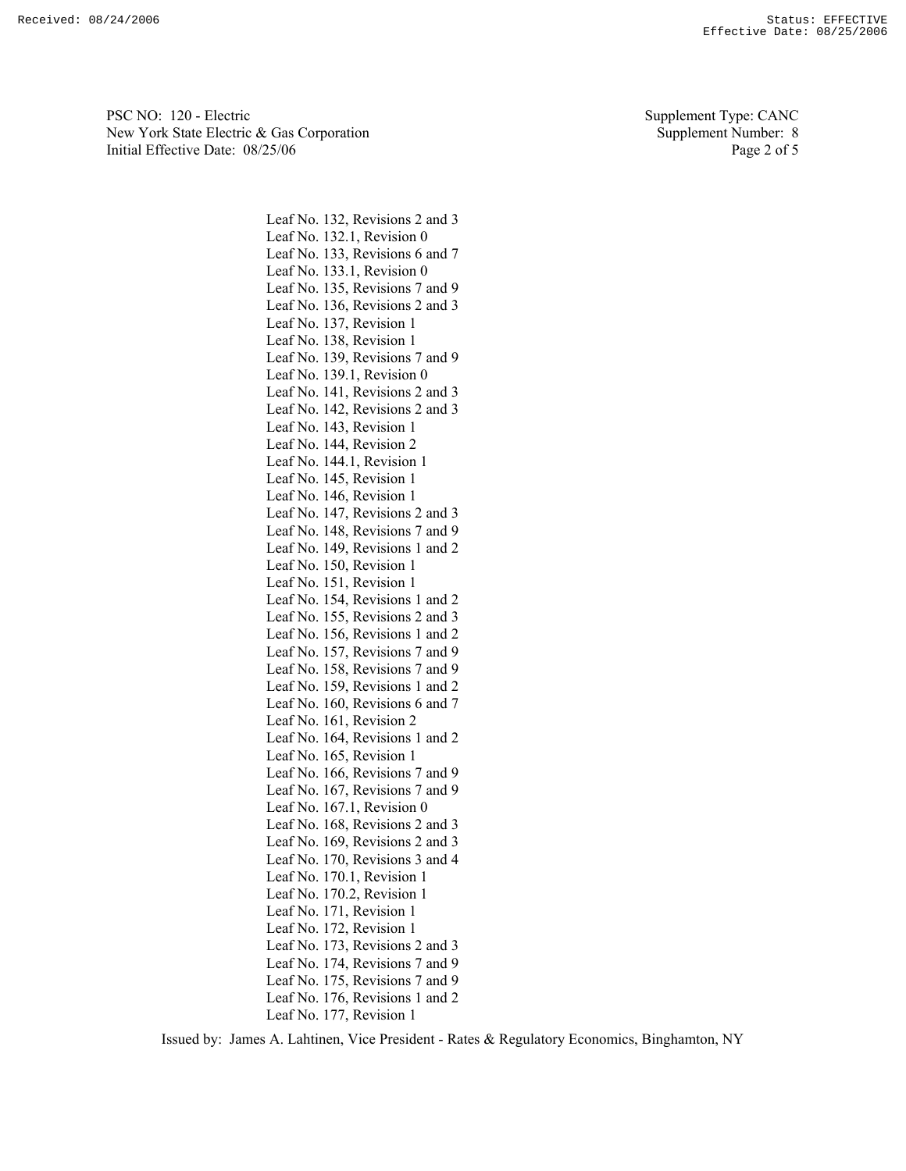PSC NO: 120 - Electric Supplement Type: CANC New York State Electric & Gas Corporation Supplement Number: 8 Initial Effective Date:  $08/25/06$  Page 2 of 5

Leaf No. 132, Revisions 2 and 3 Leaf No. 132.1, Revision 0 Leaf No. 133, Revisions 6 and 7 Leaf No. 133.1, Revision 0 Leaf No. 135, Revisions 7 and 9 Leaf No. 136, Revisions 2 and 3 Leaf No. 137, Revision 1 Leaf No. 138, Revision 1 Leaf No. 139, Revisions 7 and 9 Leaf No. 139.1, Revision 0 Leaf No. 141, Revisions 2 and 3 Leaf No. 142, Revisions 2 and 3 Leaf No. 143, Revision 1 Leaf No. 144, Revision 2 Leaf No. 144.1, Revision 1 Leaf No. 145, Revision 1 Leaf No. 146, Revision 1 Leaf No. 147, Revisions 2 and 3 Leaf No. 148, Revisions 7 and 9 Leaf No. 149, Revisions 1 and 2 Leaf No. 150, Revision 1 Leaf No. 151, Revision 1 Leaf No. 154, Revisions 1 and 2 Leaf No. 155, Revisions 2 and 3 Leaf No. 156, Revisions 1 and 2 Leaf No. 157, Revisions 7 and 9 Leaf No. 158, Revisions 7 and 9 Leaf No. 159, Revisions 1 and 2 Leaf No. 160, Revisions 6 and 7 Leaf No. 161, Revision 2 Leaf No. 164, Revisions 1 and 2 Leaf No. 165, Revision 1 Leaf No. 166, Revisions 7 and 9 Leaf No. 167, Revisions 7 and 9 Leaf No. 167.1, Revision 0 Leaf No. 168, Revisions 2 and 3 Leaf No. 169, Revisions 2 and 3 Leaf No. 170, Revisions 3 and 4 Leaf No. 170.1, Revision 1 Leaf No. 170.2, Revision 1 Leaf No. 171, Revision 1 Leaf No. 172, Revision 1 Leaf No. 173, Revisions 2 and 3 Leaf No. 174, Revisions 7 and 9 Leaf No. 175, Revisions 7 and 9 Leaf No. 176, Revisions 1 and 2 Leaf No. 177, Revision 1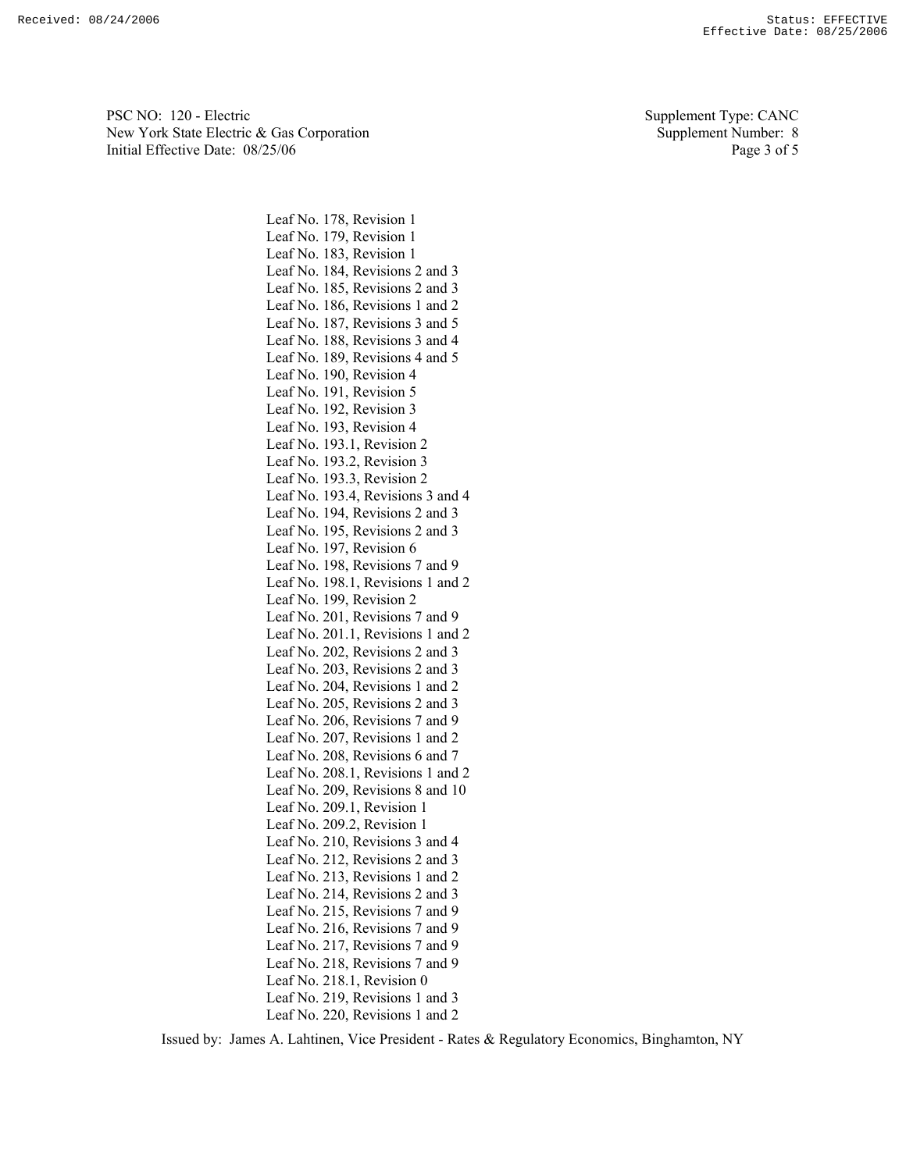PSC NO: 120 - Electric Supplement Type: CANC New York State Electric & Gas Corporation Supplement Number: 8 Initial Effective Date:  $08/25/06$  Page 3 of 5

Leaf No. 178, Revision 1 Leaf No. 179, Revision 1 Leaf No. 183, Revision 1 Leaf No. 184, Revisions 2 and 3 Leaf No. 185, Revisions 2 and 3 Leaf No. 186, Revisions 1 and 2 Leaf No. 187, Revisions 3 and 5 Leaf No. 188, Revisions 3 and 4 Leaf No. 189, Revisions 4 and 5 Leaf No. 190, Revision 4 Leaf No. 191, Revision 5 Leaf No. 192, Revision 3 Leaf No. 193, Revision 4 Leaf No. 193.1, Revision 2 Leaf No. 193.2, Revision 3 Leaf No. 193.3, Revision 2 Leaf No. 193.4, Revisions 3 and 4 Leaf No. 194, Revisions 2 and 3 Leaf No. 195, Revisions 2 and 3 Leaf No. 197, Revision 6 Leaf No. 198, Revisions 7 and 9 Leaf No. 198.1, Revisions 1 and 2 Leaf No. 199, Revision 2 Leaf No. 201, Revisions 7 and 9 Leaf No. 201.1, Revisions 1 and 2 Leaf No. 202, Revisions 2 and 3 Leaf No. 203, Revisions 2 and 3 Leaf No. 204, Revisions 1 and 2 Leaf No. 205, Revisions 2 and 3 Leaf No. 206, Revisions 7 and 9 Leaf No. 207, Revisions 1 and 2 Leaf No. 208, Revisions 6 and 7 Leaf No. 208.1, Revisions 1 and 2 Leaf No. 209, Revisions 8 and 10 Leaf No. 209.1, Revision 1 Leaf No. 209.2, Revision 1 Leaf No. 210, Revisions 3 and 4 Leaf No. 212, Revisions 2 and 3 Leaf No. 213, Revisions 1 and 2 Leaf No. 214, Revisions 2 and 3 Leaf No. 215, Revisions 7 and 9 Leaf No. 216, Revisions 7 and 9 Leaf No. 217, Revisions 7 and 9 Leaf No. 218, Revisions 7 and 9 Leaf No. 218.1, Revision 0 Leaf No. 219, Revisions 1 and 3 Leaf No. 220, Revisions 1 and 2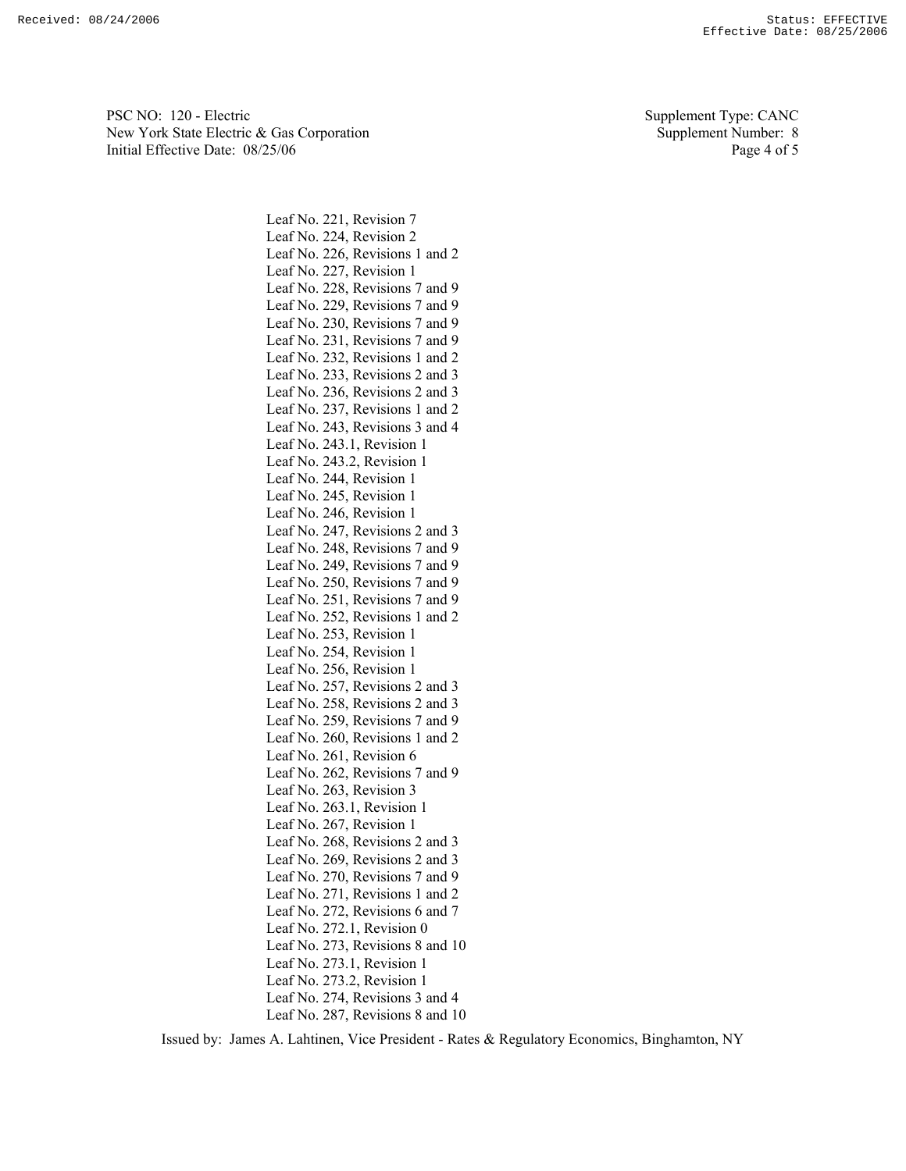PSC NO: 120 - Electric Supplement Type: CANC New York State Electric & Gas Corporation Supplement Number: 8 Initial Effective Date:  $08/25/06$  Page 4 of 5

Leaf No. 221, Revision 7 Leaf No. 224, Revision 2 Leaf No. 226, Revisions 1 and 2 Leaf No. 227, Revision 1 Leaf No. 228, Revisions 7 and 9 Leaf No. 229, Revisions 7 and 9 Leaf No. 230, Revisions 7 and 9 Leaf No. 231, Revisions 7 and 9 Leaf No. 232, Revisions 1 and 2 Leaf No. 233, Revisions 2 and 3 Leaf No. 236, Revisions 2 and 3 Leaf No. 237, Revisions 1 and 2 Leaf No. 243, Revisions 3 and 4 Leaf No. 243.1, Revision 1 Leaf No. 243.2, Revision 1 Leaf No. 244, Revision 1 Leaf No. 245, Revision 1 Leaf No. 246, Revision 1 Leaf No. 247, Revisions 2 and 3 Leaf No. 248, Revisions 7 and 9 Leaf No. 249, Revisions 7 and 9 Leaf No. 250, Revisions 7 and 9 Leaf No. 251, Revisions 7 and 9 Leaf No. 252, Revisions 1 and 2 Leaf No. 253, Revision 1 Leaf No. 254, Revision 1 Leaf No. 256, Revision 1 Leaf No. 257, Revisions 2 and 3 Leaf No. 258, Revisions 2 and 3 Leaf No. 259, Revisions 7 and 9 Leaf No. 260, Revisions 1 and 2 Leaf No. 261, Revision 6 Leaf No. 262, Revisions 7 and 9 Leaf No. 263, Revision 3 Leaf No. 263.1, Revision 1 Leaf No. 267, Revision 1 Leaf No. 268, Revisions 2 and 3 Leaf No. 269, Revisions 2 and 3 Leaf No. 270, Revisions 7 and 9 Leaf No. 271, Revisions 1 and 2 Leaf No. 272, Revisions 6 and 7 Leaf No. 272.1, Revision 0 Leaf No. 273, Revisions 8 and 10 Leaf No. 273.1, Revision 1 Leaf No. 273.2, Revision 1 Leaf No. 274, Revisions 3 and 4 Leaf No. 287, Revisions 8 and 10